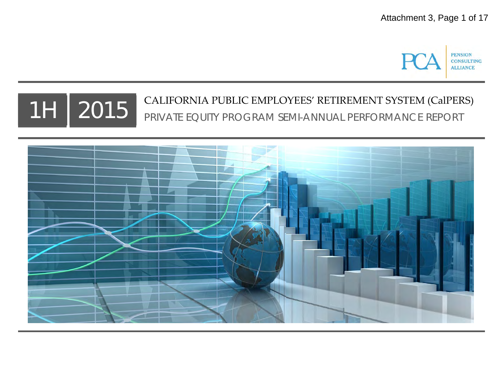

# TH  $\mid 2015\mid ^{$  CALIFORNIA PUBLIC EMPLOYEES' RETIREMENT SYSTEM (CalPERS)<br>The california perception of the person of the performance report PRIVATE EQUITY PROGRAM SEMI-ANNUAL PERFORMANCE REPORT

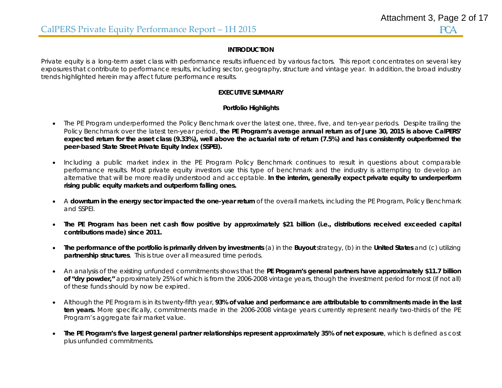### **INTRODUCTION**

Private equity is a long-term asset class with performance results influenced by various factors. This report concentrates on several key exposures that contribute to performance results, including sector, geography, structure and vintage year. In addition, the broad industry trends highlighted herein may affect future performance results.

## **EXECUTIVE SUMMARY**

# **Portfolio Highlights**

- The PE Program underperformed the Policy Benchmark over the latest one, three, five, and ten-year periods. Despite trailing the Policy Benchmark over the latest ten-year period, **the PE Program's average annual return as of June 30, 2015 is above CalPERS' expected return for the asset class (9.33%), well above the actuarial rate of return (7.5%) and has consistently outperformed the peer-based State Street Private Equity Index (SSPEI).**
- Including a public market index in the PE Program Policy Benchmark continues to result in questions about comparable performance results. Most private equity investors use this type of benchmark and the industry is attempting to develop an alternative that will be more readily understood and acceptable. **In the interim, generally expect private equity to underperform rising public equity markets and outperform falling ones.**
- A **downturn in the energy sector impacted the one-year return** of the overall markets, including the PE Program, Policy Benchmark and SSPEI.
- **The PE Program has been net cash flow positive by approximately \$21 billion (i.e., distributions received exceeded capital contributions made) since 2011.**
- **The performance of the portfolio is primarily driven by investments** (a) in the **Buyout** strategy, (b) in the **United States** and (c) utilizing **partnership structures**. This is true over all measured time periods.
- An analysis of the existing unfunded commitments shows that the **PE Program's general partners have approximately \$11.7 billion of "dry powder,"** approximately 25% of which is from the 2006-2008 vintage years, though the investment period for most (if not all) of these funds should by now be expired.
- Although the PE Program is in its twenty-fifth year, **93% of value and performance are attributable to commitments made in the last ten years.** More specifically, commitments made in the 2006-2008 vintage years currently represent nearly two-thirds of the PE Program's aggregate fair market value.
- **The PE Program's five largest general partner relationships represent approximately 35% of net exposure**, which is defined as cost plus unfunded commitments.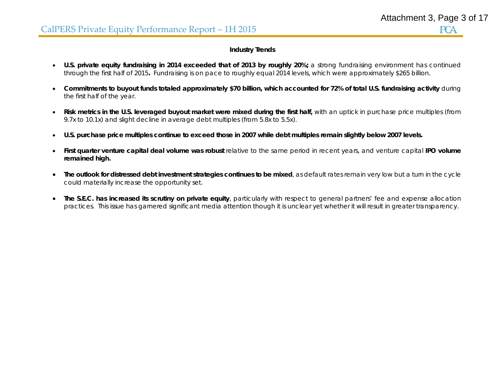# **Industry Trends**

- **U.S. private equity fundraising in 2014 exceeded that of 2013 by roughly 20%;** a strong fundraising environment has continued through the first half of 2015**.** Fundraising is on pace to roughly equal 2014 levels, which were approximately \$265 billion.
- $\bullet$  **Commitments to buyout funds totaled approximately \$70 billion, which accounted for 72% of total U.S. fundraising activity** during the first half of the year.
- $\bullet$ **Risk metrics in the U.S. leveraged buyout market were mixed during the first half,** with an uptick in purchase price multiples (from 9.7x to 10.1x) and slight decline in average debt multiples (from 5.8x to 5.5x).
- $\bullet$ **U.S. purchase price multiples continue to exceed those in 2007 while debt multiples remain slightly below 2007 levels.**
- e **First quarter venture capital deal volume was robust** relative to the same period in recent years, and venture capital **IPO volume remained high.**
- $\bullet$  **The outlook for distressed debt investment strategies continues to be mixed**, as default rates remain very low but a turn in the cycle could materially increase the opportunity set.
- **The S.E.C. has increased its scrutiny on private equity**, particularly with respect to general partners' fee and expense allocation practices. This issue has garnered significant media attention though it is unclear yet whether it will result in greater transparency.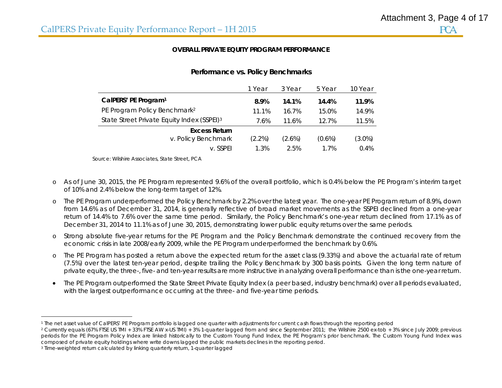### **OVERALL PRIVATE EQUITY PROGRAM PERFORMANCE**

|                                                        | 1 Year    | 3 Year    | 5 Year    | 10 Year   |
|--------------------------------------------------------|-----------|-----------|-----------|-----------|
| CalPERS' PE Program <sup>1</sup>                       | 8.9%      | 14.1%     | 14.4%     | 11.9%     |
| PE Program Policy Benchmark <sup>2</sup>               | 11.1%     | 16.7%     | 15.0%     | 14.9%     |
| State Street Private Equity Index (SSPEI) <sup>3</sup> | 7.6%      | 11.6%     | 12.7%     | 11.5%     |
| <b>Excess Return</b>                                   |           |           |           |           |
| v. Policy Benchmark                                    | $(2.2\%)$ | $(2.6\%)$ | $(0.6\%)$ | $(3.0\%)$ |
| v. SSPFI                                               | 1.3%      | 2.5%      | 1.7%      | 0.4%      |

# **Performance vs. Policy Benchmarks**

Source: Wilshire Associates, State Street, PCA

- o As of June 30, 2015, the PE Program represented 9.6% of the overall portfolio, which is 0.4% below the PE Program's interim target of 10% and 2.4% below the long-term target of 12%.
- o The PE Program underperformed the Policy Benchmark by 2.2% over the latest year. The one-year PE Program return of 8.9%, down from 14.6% as of December 31, 2014, is generally reflective of broad market movements as the SSPEI declined from a one-year return of 14.4% to 7.6% over the same time period. Similarly, the Policy Benchmark's one-year return declined from 17.1% as of December 31, 2014 to 11.1% as of June 30, 2015, demonstrating lower public equity returns over the same periods.
- o Strong absolute five-year returns for the PE Program and the Policy Benchmark demonstrate the continued recovery from the economic crisis in late 2008/early 2009, while the PE Program underperformed the benchmark by 0.6%.
- o The PE Program has posted a return above the expected return for the asset class (9.33%) and above the actuarial rate of return (7.5%) over the latest ten-year period, despite trailing the Policy Benchmark by 300 basis points. Given the long term nature of private equity, the three-, five- and ten-year results are more instructive in analyzing overall performance than is the one-year return.
- The PE Program outperformed the State Street Private Equity Index (a peer based, industry benchmark) over all periods evaluated, with the largest outperformance occurring at the three- and five-year time periods.

<sup>1</sup> The net asset value of CalPERS' PE Program portfolio is lagged one quarter with adjustments for current cash flows through the reporting period

<sup>&</sup>lt;sup>2</sup> Currently equals (67% FTSE US TMI + 33% FTSE AW x-US TMI) + 3% 1-quarter lagged from and since September 2011; the Wilshire 2500 ex-tob + 3% since July 2009; previous periods for the PE Program Policy Index are linked historically to the Custom Young Fund Index, the PE Program's prior benchmark. The Custom Young Fund Index was composed of private equity holdings where write downs lagged the public markets declines in the reporting period.

<sup>3</sup> Time-weighted return calculated by linking quarterly return, 1-quarter lagged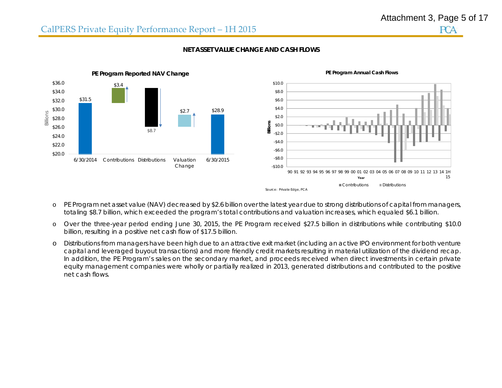

## **NET ASSET VALUE CHANGE AND CASH FLOWS**

- o PE Program net asset value (NAV) decreased by \$2.6 billion over the latest year due to strong distributions of capital from managers, totaling \$8.7 billion, which exceeded the program's total contributions and valuation increases, which equaled \$6.1 billion.
- o Over the three-year period ending June 30, 2015, the PE Program received \$27.5 billion in distributions while contributing \$10.0 billion, resulting in a positive net cash flow of \$17.5 billion.
- o Distributions from managers have been high due to an attractive exit market (including an active IPO environment for both venture capital and leveraged buyout transactions) and more friendly credit markets resulting in material utilization of the dividend recap. In addition, the PE Program's sales on the secondary market, and proceeds received when direct investments in certain private equity management companies were wholly or partially realized in 2013, generated distributions and contributed to the positive net cash flows.

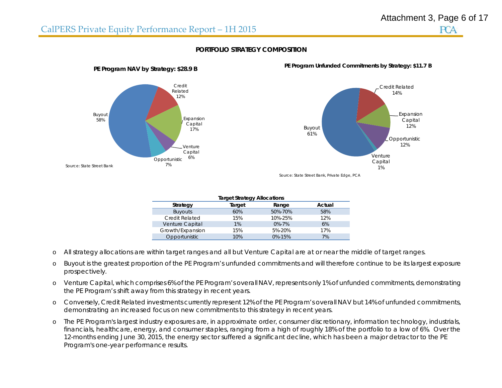

# **PORTFOLIO STRATEGY COMPOSITION**



**PE Program Unfunded Commitments by Strategy: \$11.7 B**

Source: State Street Bank, Private Edge, PCA

| <b>Target Strategy Allocations</b> |        |              |        |  |  |  |
|------------------------------------|--------|--------------|--------|--|--|--|
| Strategy                           | Target | Range        | Actual |  |  |  |
| <b>Buyouts</b>                     | 60%    | 50%-70%      | 58%    |  |  |  |
| <b>Credit Related</b>              | 15%    | 10%-25%      | 12%    |  |  |  |
| Venture Capital                    | 1%     | $0\% - 7\%$  | 6%     |  |  |  |
| Growth/Expansion                   | 15%    | 5%-20%       | 17%    |  |  |  |
| Opportunistic                      | 10%    | $0\% - 15\%$ | 7%     |  |  |  |

- oAll strategy allocations are within target ranges and all but Venture Capital are at or near the middle of target ranges.
- o Buyout is the greatest proportion of the PE Program's unfunded commitments and will therefore continue to be its largest exposure prospectively.
- o Venture Capital, which comprises 6% of the PE Program's overall NAV, represents only 1% of unfunded commitments, demonstrating the PE Program's shift away from this strategy in recent years.
- o Conversely, Credit Related investments currently represent 12% of the PE Program's overall NAV but 14% of unfunded commitments, demonstrating an increased focus on new commitments to this strategy in recent years.
- o The PE Program's largest industry exposures are, in approximate order, consumer discretionary, information technology, industrials, financials, healthcare, energy, and consumer staples, ranging from a high of roughly 18% of the portfolio to a low of 6%. Over the 12-months ending June 30, 2015, the energy sector suffered a significant decline, which has been a major detractor to the PE Program's one-year performance results.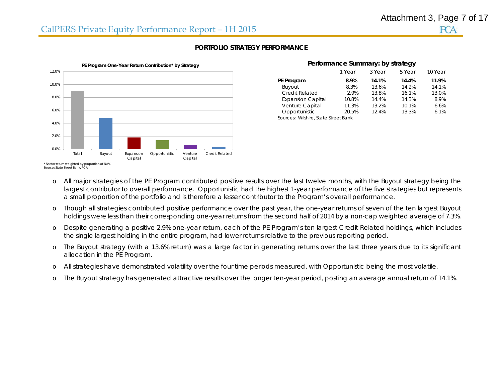

# **PORTFOLIO STRATEGY PERFORMANCE**

| I Chomance Summary. By Strategy |        |        |        |         |  |  |  |
|---------------------------------|--------|--------|--------|---------|--|--|--|
|                                 | 1 Year | 3 Year | 5 Year | 10 Year |  |  |  |
| PE Program                      | 8.9%   | 14.1%  | 14.4%  | 11.9%   |  |  |  |
| Buyout                          | 8.3%   | 13.6%  | 14.2%  | 14.1%   |  |  |  |
| Credit Related                  | 2.9%   | 13.8%  | 16.1%  | 13.0%   |  |  |  |
| <b>Expansion Capital</b>        | 10.8%  | 14.4%  | 14.3%  | 8.9%    |  |  |  |
| Venture Capital                 | 11.3%  | 13.2%  | 10.1%  | 6.6%    |  |  |  |
| Opportunistic                   | 20.5%  | 124%   | 13.3%  | 6.1%    |  |  |  |

**Performance Summary: by strategy** 

Sources: Wilshire, State Street Bank

- o All major strategies of the PE Program contributed positive results over the last twelve months, with the Buyout strategy being the largest contributor to overall performance. Opportunistic had the highest 1-year performance of the five strategies but represents a small proportion of the portfolio and is therefore a lesser contributor to the Program's overall performance.
- o Though all strategies contributed positive performance over the past year, the one-year returns of seven of the ten largest Buyout holdings were less than their corresponding one-year returns from the second half of 2014 by a non-cap weighted average of 7.3%.
- o Despite generating a positive 2.9% one-year return, each of the PE Program's ten largest Credit Related holdings, which includes the single largest holding in the entire program, had lower returns relative to the previous reporting period.
- o The Buyout strategy (with a 13.6% return) was a large factor in generating returns over the last three years due to its significant allocation in the PE Program.
- oAll strategies have demonstrated volatility over the four time periods measured, with Opportunistic being the most volatile.
- oThe Buyout strategy has generated attractive results over the longer ten-year period, posting an average annual return of 14.1%.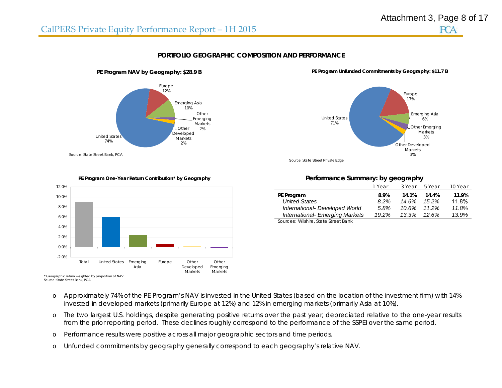



### **PORTFOLIO GEOGRAPHIC COMPOSITION AND PERFORMANCE**



**PE Program NAV by Geography: \$28.9 B**

#### United States71%Europe 17%Emerging Asia 6%Other Emerging Markets3%Other Developed

**PE Program Unfunded Commitments by Geography: \$11.7 B**

Markets3%

Source: State Street Private Edge



#### **PE Program One-Year Return Contribution\* by Geography**

### **Performance Summary: by geography**

|                                 | 1 Year | 3 Year | 5 Year   | 10 Year |
|---------------------------------|--------|--------|----------|---------|
| PE Program                      | 8.9%   | 14.1%  | 14.4%    | 11.9%   |
| <b>United States</b>            | 8.2%   | 14.6%  | 15.2%    | 11.8%   |
| International- Developed World  | 5.8%   | 10.6%  | 11.2%    | 11.8%   |
| International- Emerging Markets | 19.2%  | 13.3%  | $12.6\%$ | 13.9%   |

Sources: Wilshire, State Street Bank

- \* Geographic return weighted by proportion of NAV. Source: State Street Bank, PCA
	- o Approximately 74% of the PE Program's NAV is invested in the United States (based on the location of the investment firm) with 14% invested in developed markets (primarily Europe at 12%) and 12% in emerging markets (primarily Asia at 10%).
	- o The two largest U.S. holdings, despite generating positive returns over the past year, depreciated relative to the one-year results from the prior reporting period. These declines roughly correspond to the performance of the SSPEI over the same period.
	- oPerformance results were positive across all major geographic sectors and time periods.
	- oUnfunded commitments by geography generally correspond to each geography's relative NAV.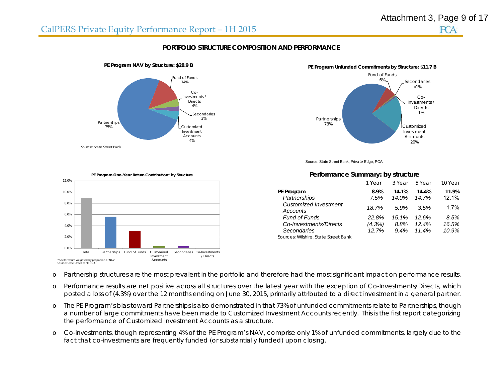# CalPERS Private Equity Performance Report – 1H 2015

**PE Program NAV by Structure: \$28.9 B**



**PCA** 

### **PORTFOLIO STRUCTURE COMPOSITION AND PERFORMANCE**



#### Partnerships 73%Fund of Funds6% Secondaries<1%Co-Investments / Directs1%Customized Investment **Accounts** 20%

Source: State Street Bank, Private Edge, PCA



#### **Performance Summary: by structure**

|                                          | 1 Year | 3 Year | 5 Year | 10 Year |
|------------------------------------------|--------|--------|--------|---------|
| PE Program                               | 8.9%   | 14.1%  | 14.4%  | 11.9%   |
| Partnerships                             | 7.5%   | 14.0%  | 14.7%  | 12.1%   |
| <b>Customized Investment</b><br>Accounts | 18.7%  | 5.9%   | 3.5%   | 1.7%    |
| <b>Fund of Funds</b>                     | 22.8%  | 15.1%  | 12.6%  | 8.5%    |
| Co-Investments/Directs                   | (4.3%) | 8.8%   | 12.4%  | 16.5%   |
| <b>Secondaries</b>                       | 12.7%  | 9.4%   | 11.4%  | 10.9%   |

Sources: Wilshire, State Street Bank

oPartnership structures are the most prevalent in the portfolio and therefore had the most significant impact on performance results.

- o Performance results are net positive across all structures over the latest year with the exception of Co-Investments/Directs, which posted a loss of (4.3%) over the 12 months ending on June 30, 2015, primarily attributed to a direct investment in a general partner.
- o The PE Program's bias toward Partnerships is also demonstrated in that 73% of unfunded commitments relate to Partnerships, though a number of large commitments have been made to Customized Investment Accounts recently. This is the first report categorizing the performance of Customized Investment Accounts as a structure.
- o Co-investments, though representing 4% of the PE Program's NAV, comprise only 1% of unfunded commitments, largely due to the fact that co-investments are frequently funded (or substantially funded) upon closing.

# **PE Program Unfunded Commitments by Structure: \$11.7 B**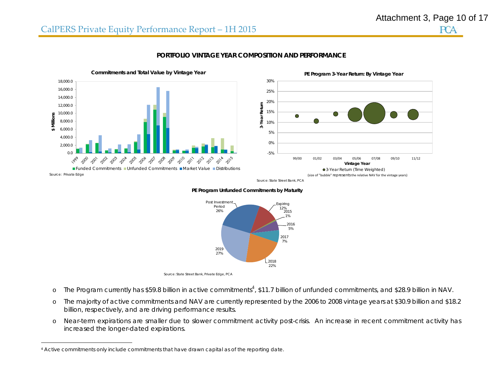

### **PORTFOLIO VINTAGE YEAR COMPOSITION AND PERFORMANCE**



Source: State Street Bank, PCA

#### **PE Program Unfunded Commitments by Maturity**



- oThe Program currently has \$59.8 billion in active commitments<sup>4</sup>, \$11.7 billion of unfunded commitments, and \$28.9 billion in NAV.
- o The majority of active commitments and NAV are currently represented by the 2006 to 2008 vintage years at \$30.9 billion and \$18.2 billion, respectively, and are driving performance results.
- o Near-term expirations are smaller due to slower commitment activity post-crisis. An increase in recent commitment activity has increased the longer-dated expirations.

<sup>4</sup> Active commitments only include commitments that have drawn capital as of the reporting date.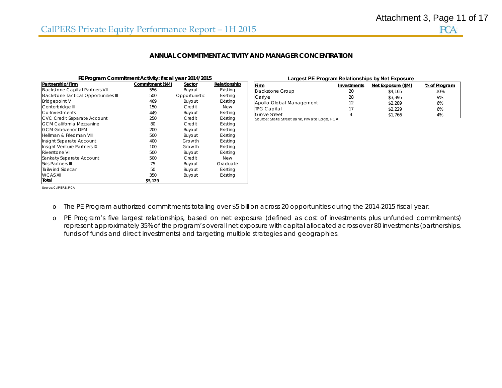### **ANNUAL COMMITMENT ACTIVITY AND MANAGER CONCENTRATION**

| PE Program Commitment Activity: fiscal year 2014/2015 |                  |               |              |                                              |             | Largest PE Program Relationships by Net Exposure |
|-------------------------------------------------------|------------------|---------------|--------------|----------------------------------------------|-------------|--------------------------------------------------|
| Partnership/Firm                                      | Commitment (\$M) | Sector        | Relationship | <b>Firm</b>                                  | Investments | Net Exposure (\$M)                               |
| <b>Blackstone Capital Partners VII</b>                | 556              | Buyout        | Existing     | <b>Blackstone Group</b>                      | 20          | \$4,165                                          |
| <b>Blackstone Tactical Opportunities III</b>          | 500              | Opportunistic | Existing     | Carlyle                                      | 28          | \$3,395                                          |
| <b>Bridgepoint V</b>                                  | 469              | Buyout        | Existing     | Apollo Global Management                     | 12          | \$2,289                                          |
| Centerbridge III                                      | 150              | Credit        | New          | <b>TPG Capital</b>                           | 17          | \$2,229                                          |
| Co-Investments                                        | 449              | Buyout        | Existing     | <b>Grove Street</b>                          |             | \$1,766                                          |
| CVC Credit Separate Account                           | 250              | Credit        | Existing     | Source: State Street Bank, Private Edge, PCA |             |                                                  |
| <b>IGCM California Mezzanine</b>                      | 80               | Credit        | Existing     |                                              |             |                                                  |
| <b>GCM Grosvenor DEM</b>                              | 200              | Buyout        | Existing     |                                              |             |                                                  |
| Hellman & Friedman VIII                               | 500              | Buyout        | Existing     |                                              |             |                                                  |
| Insight Separate Account                              | 400              | Growth        | Existing     |                                              |             |                                                  |
| Insight Venture Partners IX                           | 100              | Growth        | Existing     |                                              |             |                                                  |
| Riverstone VI                                         | 500              | Buyout        | Existing     |                                              |             |                                                  |
| Sankaty Separate Account                              | 500              | Credit        | New          |                                              |             |                                                  |
| Siris Partners III                                    | 75               | Buyout        | Graduate     |                                              |             |                                                  |
| Tailwind Sidecar                                      | 50               | Buyout        | Existing     |                                              |             |                                                  |
| <b>WCAS XII</b>                                       | 350              | Buyout        | Existing     |                                              |             |                                                  |
| Total                                                 | \$5,129          |               |              |                                              |             |                                                  |

| Largest PE Program Relationships by Net Exposure |             |                    |              |  |  |  |
|--------------------------------------------------|-------------|--------------------|--------------|--|--|--|
| Firm                                             | Investments | Net Exposure (\$M) | % of Program |  |  |  |
| <b>Blackstone Group</b>                          | 20          | \$4.165            | 10%          |  |  |  |
| Carlyle                                          | 28          | \$3.395            | 9%           |  |  |  |
| Apollo Global Management                         | 12          | \$2.289            | 6%           |  |  |  |
| <b>TPG Capital</b>                               | 17          | \$2.229            | 6%           |  |  |  |
| Grove Street                                     | Δ           | \$1.766            | 4%           |  |  |  |
| Source: State Street Bank, Private Edge, PCA     |             |                    |              |  |  |  |

Source: CalPERS, PCA

oThe PE Program authorized commitments totaling over \$5 billion across 20 opportunities during the 2014-2015 fiscal year.

o PE Program's five largest relationships, based on net exposure (defined as cost of investments plus unfunded commitments) represent approximately 35% of the program's overall net exposure with capital allocated across over 80 investments (partnerships, funds of funds and direct investments) and targeting multiple strategies and geographies.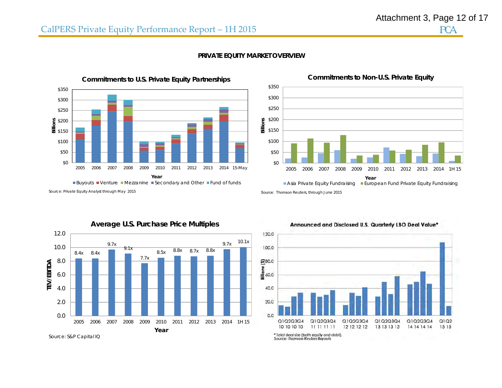# CalPERS Private Equity Performance Report – 1H 2015



**PRIVATE EQUITY MARKET OVERVIEW** 



Source: *Private Equity Analyst* through May 2015

Source: Thomson Reuters, through June 2015



# **Average U.S. Purchase Price Multiples**

Source: S&P Capital IQ





**Commitments to Non-U.S. Private Equity**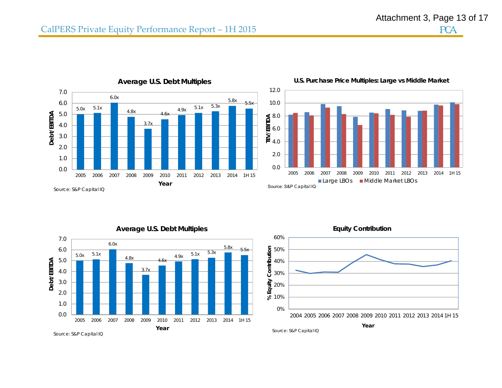

**Average U.S. Debt Multiples**

**U.S. Purchase Price Multiples: Large vs Middle Market**





**Equity Contribution**



Source: S&P Capital IQ

**Year**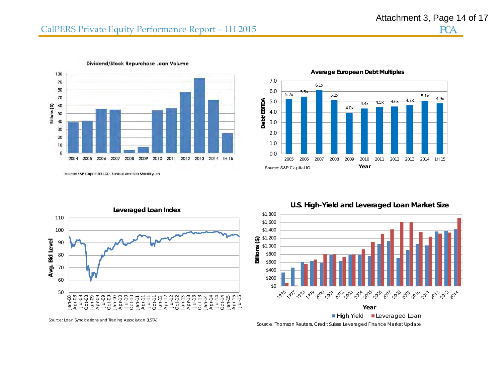

Dividend/Stock Repurchase Loan Volume

**Average European Debt Multiples**



Source: S&P Capital IQ LCD, Bank of America Merrill Lynch



**U.S. High-Yield and Leveraged Loan Market Size**



High Yield Leveraged Loan Source: Thomson Reuters, Credit Suisse Leveraged Finance Market Update

Source: Loan Syndications and Trading Association (LSTA)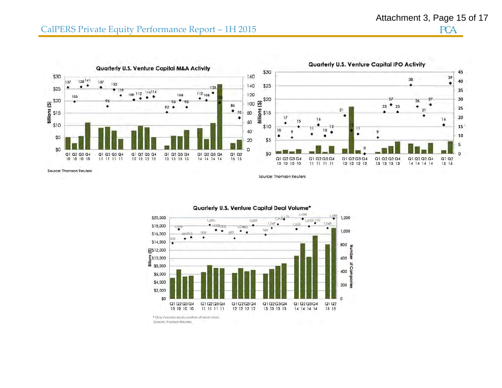# CalPERS Private Equity Performance Report – 1H 2015



 $1/84$  $1.189$ 1,200 \$20,000  $(073)$ ,  $122$ 1,096 1,089 1,048  $+$   $+$   $COP$   $DOS$  $1.033$ \$18,000 LCC657 ٠ ٠ ٠  $\cdot$  . 949 ٠ 1,000 **R97** 909 \$16,000  $0121$ ٠ ÷ ٠ \$14,000 800 Number <u>ය</u>\$12,000  $\frac{2}{3}$ \$10,000 600  $\overline{\mathbf{0}}$  $\frac{40}{20}$ <br>saludurg) \$6,000 \$4,000 200 \$2,000 \$0  $\Omega$ Q1 Q2 Q3 Q4 Q1 Q2 Q3 Q4 Q1 Q2 Q3 Q4 Q1 Q2 Q3 Q4  $Q1Q2$ Q1 Q2 Q3 Q4 10 10 10 10  $11$  11 11 11 12 12 12 12 13 13 13 13 14 14 14 14 15 15

Quarterly U.S. Venture Capital Deal Volume\*

\* Only includes equity portion of deal value. Source: Thomson Reuters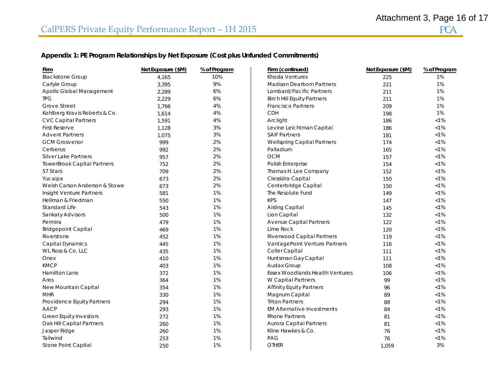# **Appendix 1: PE Program Relationships by Net Exposure (Cost plus Unfunded Commitments)**

| Firm                               | Net Exposure (\$M) | % of Program | Firm (continued)                       | Net Exposure (\$M) | % of Program |
|------------------------------------|--------------------|--------------|----------------------------------------|--------------------|--------------|
| <b>Blackstone Group</b>            | 4.165              | 10%          | Khosla Ventures                        | 225                | 1%           |
| Carlyle Group                      | 3,395              | 9%           | <b>Madison Dearborn Partners</b>       | 221                | 1%           |
| Apollo Global Management           | 2,289              | 6%           | Lombard/Pacific Partners               | 211                | 1%           |
| <b>TPG</b>                         | 2,229              | 6%           | <b>Birch Hill Equity Partners</b>      | 211                | 1%           |
| Grove Street                       | 1,766              | 4%           | <b>Francisco Partners</b>              | 209                | 1%           |
| Kohlberg Kravis Roberts & Co.      | 1,614              | 4%           | <b>CDH</b>                             | 198                | 1%           |
| <b>CVC Capital Partners</b>        | 1,591              | 4%           | Arclight                               | 186                | $< 1\%$      |
| First Reserve                      | 1,128              | 3%           | Levine Leichtman Capital               | 186                | $< 1\%$      |
| <b>Advent Partners</b>             | 1,075              | 3%           | <b>SAIF Partners</b>                   | 181                | $< 1\%$      |
| <b>GCM Grosvenor</b>               | 999                | 2%           | Wellspring Capital Partners            | 174                | $< 1\%$      |
| Cerberus                           | 992                | 2%           | Palladium                              | 165                | $< 1\%$      |
| Silver Lake Partners               | 957                | 2%           | OCM                                    | 157                | $< 1\%$      |
| <b>TowerBrook Capital Partners</b> | 752                | 2%           | Polish Enterprise                      | 154                | $< 1\%$      |
| 57 Stars                           | 709                | 2%           | Thomas H. Lee Company                  | 152                | $< 1\%$      |
| Yucaipa                            | 673                | 2%           | Clessidra Capital                      | 150                | $< 1\%$      |
| Welsh Carson Anderson & Stowe      | 673                | 2%           | Centerbridge Capital                   | 150                | $< 1\%$      |
| Insight Venture Partners           | 581                | 1%           | The Resolute Fund                      | 149                | $< 1\%$      |
| Hellman & Friedman                 | 550                | 1%           | <b>KPS</b>                             | 147                | $< 1\%$      |
| Standard Life                      | 543                | 1%           | Aisling Capital                        | 145                | $< 1\%$      |
| Sankaty Advisors                   | 500                | 1%           | Lion Capital                           | 132                | $< 1\%$      |
| Permira                            | 479                | 1%           | <b>Avenue Capital Partners</b>         | 122                | $< 1\%$      |
| <b>Bridgepoint Capital</b>         | 469                | 1%           | Lime Rock                              | 120                | $< 1\%$      |
| Riverstone                         | 452                | 1%           | Riverwood Capital Partners             | 119                | $< 1\%$      |
| Capital Dynamics                   | 445                | 1%           | VantagePoint Venture Partners          | 116                | $< 1\%$      |
| WL Ross & Co. LLC                  | 435                | 1%           | Coller Capital                         | 111                | $< 1\%$      |
| Onex                               | 410                | 1%           | Huntsman Gay Capital                   | 111                | $< 1\%$      |
| <b>KMCP</b>                        | 403                | 1%           | Audax Group                            | 108                | $< 1\%$      |
| Hamilton Lane                      | 372                | 1%           | <b>Essex Woodlands Health Ventures</b> | 106                | $< 1\%$      |
| Ares                               | 364                | 1%           | W Capital Partners                     | 99                 | $< 1\%$      |
| New Mountain Capital               | 354                | 1%           | <b>Affinity Equity Partners</b>        | 96                 | $< 1\%$      |
| <b>MHR</b>                         | 330                | 1%           | Magnum Capital                         | 89                 | $< 1\%$      |
| Providence Equity Partners         | 294                | 1%           | <b>Triton Partners</b>                 | 88                 | $< 1\%$      |
| <b>AACP</b>                        | 293                | 1%           | <b>EM Alternative Investments</b>      | 84                 | $< 1\%$      |
| Green Equity Investors             | 272                | 1%           | <b>Rhone Partners</b>                  | 81                 | $< 1\%$      |
| Oak Hill Capital Partners          | 260                | 1%           | Aurora Capital Partners                | 81                 | $< 1\%$      |
| Jasper Ridge                       | 260                | 1%           | Kline Hawkes & Co.                     | 76                 | $< 1\%$      |
| Tailwind                           | 253                | 1%           | PAG                                    | 76                 | $< 1\%$      |
| Stone Point Capital                | 250                | 1%           | <b>OTHER</b>                           | 1,059              | 3%           |